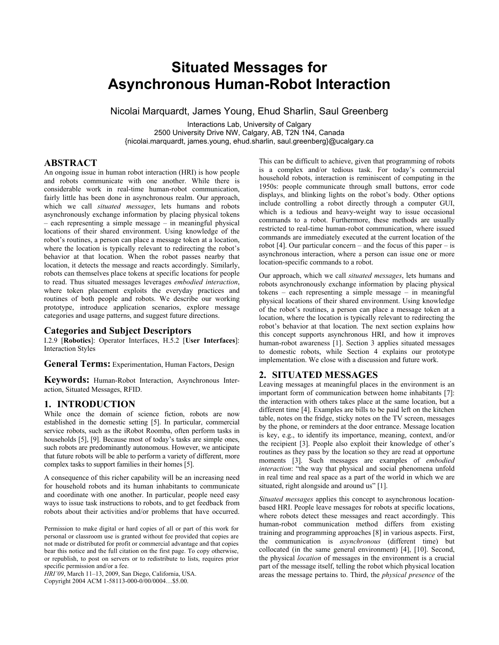# **Situated Messages for Asynchronous Human-Robot Interaction**

Nicolai Marquardt, James Young, Ehud Sharlin, Saul Greenberg

Interactions Lab, University of Calgary 2500 University Drive NW, Calgary, AB, T2N 1N4, Canada {nicolai.marquardt, james.young, ehud.sharlin, saul.greenberg}@ucalgary.ca

## **ABSTRACT**

An ongoing issue in human robot interaction (HRI) is how people and robots communicate with one another. While there is considerable work in real-time human-robot communication, fairly little has been done in asynchronous realm. Our approach, which we call *situated messages*, lets humans and robots asynchronously exchange information by placing physical tokens – each representing a simple message – in meaningful physical locations of their shared environment. Using knowledge of the robot's routines, a person can place a message token at a location, where the location is typically relevant to redirecting the robot's behavior at that location. When the robot passes nearby that location, it detects the message and reacts accordingly. Similarly, robots can themselves place tokens at specific locations for people to read. Thus situated messages leverages *embodied interaction*, where token placement exploits the everyday practices and routines of both people and robots. We describe our working prototype, introduce application scenarios, explore message categories and usage patterns, and suggest future directions.

#### **Categories and Subject Descriptors**

I.2.9 [**Robotics**]: Operator Interfaces, H.5.2 [**User Interfaces**]: Interaction Styles

**General Terms:** Experimentation, Human Factors, Design

**Keywords:** Human-Robot Interaction, Asynchronous Interaction, Situated Messages, RFID.

#### **1. INTRODUCTION**

While once the domain of science fiction, robots are now established in the domestic setting [5]. In particular, commercial service robots, such as the iRobot Roomba, often perform tasks in households [5], [9]. Because most of today's tasks are simple ones, such robots are predominantly autonomous. However, we anticipate that future robots will be able to perform a variety of different, more complex tasks to support families in their homes [5].

A consequence of this richer capability will be an increasing need for household robots and its human inhabitants to communicate and coordinate with one another. In particular, people need easy ways to issue task instructions to robots, and to get feedback from robots about their activities and/or problems that have occurred.

Permission to make digital or hard copies of all or part of this work for personal or classroom use is granted without fee provided that copies are not made or distributed for profit or commercial advantage and that copies bear this notice and the full citation on the first page. To copy otherwise, or republish, to post on servers or to redistribute to lists, requires prior specific permission and/or a fee.

*HRI'09*, March 11–13, 2009, San Diego, California, USA.

Copyright 2004 ACM 1-58113-000-0/00/0004…\$5.00.

This can be difficult to achieve, given that programming of robots is a complex and/or tedious task. For today's commercial household robots, interaction is reminiscent of computing in the 1950s: people communicate through small buttons, error code displays, and blinking lights on the robot's body. Other options include controlling a robot directly through a computer GUI, which is a tedious and heavy-weight way to issue occasional commands to a robot. Furthermore, these methods are usually restricted to real-time human-robot communication, where issued commands are immediately executed at the current location of the robot  $[4]$ . Our particular concern – and the focus of this paper – is asynchronous interaction, where a person can issue one or more location-specific commands to a robot.

Our approach, which we call *situated messages*, lets humans and robots asynchronously exchange information by placing physical tokens – each representing a simple message – in meaningful physical locations of their shared environment. Using knowledge of the robot's routines, a person can place a message token at a location, where the location is typically relevant to redirecting the robot's behavior at that location. The next section explains how this concept supports asynchronous HRI, and how it improves human-robot awareness [1]. Section 3 applies situated messages to domestic robots, while Section 4 explains our prototype implementation. We close with a discussion and future work.

#### **2. SITUATED MESSAGES**

Leaving messages at meaningful places in the environment is an important form of communication between home inhabitants [7]: the interaction with others takes place at the same location, but a different time [4]. Examples are bills to be paid left on the kitchen table, notes on the fridge, sticky notes on the TV screen, messages by the phone, or reminders at the door entrance. Message location is key, e.g., to identify its importance, meaning, context, and/or the recipient [3]. People also exploit their knowledge of other's routines as they pass by the location so they are read at opportune moments [3]. Such messages are examples of *embodied interaction*: "the way that physical and social phenomena unfold in real time and real space as a part of the world in which we are situated, right alongside and around us" [1].

*Situated messages* applies this concept to asynchronous locationbased HRI. People leave messages for robots at specific locations, where robots detect these messages and react accordingly. This human-robot communication method differs from existing training and programming approaches [8] in various aspects. First, the communication is *asynchronous* (different time) but collocated (in the same general environment) [4], [10]. Second, the physical *location* of messages in the environment is a crucial part of the message itself, telling the robot which physical location areas the message pertains to. Third, the *physical presence* of the